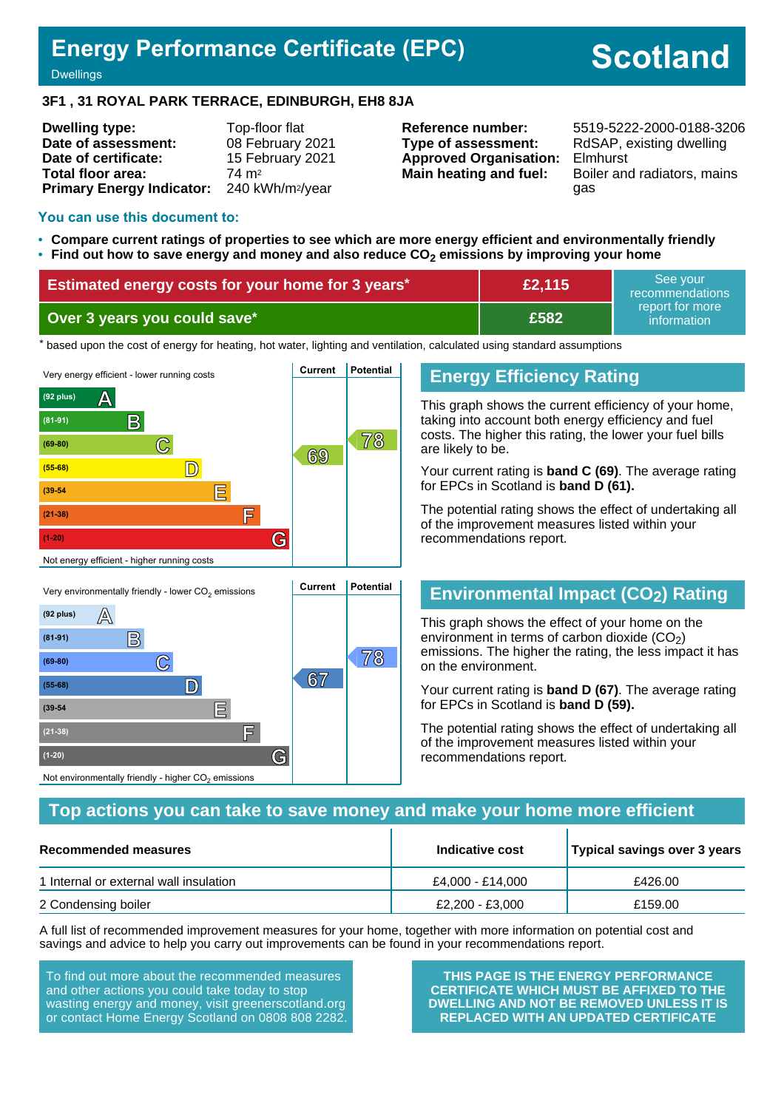# **Energy Performance Certificate (EPC)**

# **Scotland**

**Dwellings** 

#### **3F1 , 31 ROYAL PARK TERRACE, EDINBURGH, EH8 8JA**

| <b>Dwelling type:</b>            | Top-floor flat               |
|----------------------------------|------------------------------|
| Date of assessment:              | 08 February 2021             |
| Date of certificate:             | 15 February 2021             |
| Total floor area:                | 74 m <sup>2</sup>            |
| <b>Primary Energy Indicator:</b> | 240 kWh/m <sup>2</sup> /year |

**Type of assessment:** RdSAP, existing dwelling **Approved Organisation:** Elmhurst

**Reference number:** 5519-5222-2000-0188-3206 **Main heating and fuel:** Boiler and radiators, mains gas

#### **You can use this document to:**

- **Compare current ratings of properties to see which are more energy efficient and environmentally friendly**
- **Find out how to save energy and money and also reduce CO2 emissions by improving your home**

| Estimated energy costs for your home for 3 years* | £2,115 | See vour<br>recommendations                  |
|---------------------------------------------------|--------|----------------------------------------------|
| Over 3 years you could save*                      | £582   | ∟report for more <sup>।</sup><br>information |

the based upon the cost of energy for heating, hot water, lighting and ventilation, calculated using standard assumptions



#### **Energy Efficiency Rating**

This graph shows the current efficiency of your home, taking into account both energy efficiency and fuel costs. The higher this rating, the lower your fuel bills are likely to be.

Your current rating is **band C (69)**. The average rating for EPCs in Scotland is **band D (61).**

The potential rating shows the effect of undertaking all of the improvement measures listed within your recommendations report.

# **Environmental Impact (CO2) Rating**

This graph shows the effect of your home on the environment in terms of carbon dioxide  $(CO<sub>2</sub>)$ emissions. The higher the rating, the less impact it has on the environment.

Your current rating is **band D (67)**. The average rating for EPCs in Scotland is **band D (59).**

The potential rating shows the effect of undertaking all of the improvement measures listed within your recommendations report.

#### **Top actions you can take to save money and make your home more efficient**

| Recommended measures                   | Indicative cost  | Typical savings over 3 years |
|----------------------------------------|------------------|------------------------------|
| 1 Internal or external wall insulation | £4.000 - £14.000 | £426.00                      |
| 2 Condensing boiler                    | £2.200 - £3.000  | £159.00                      |

A full list of recommended improvement measures for your home, together with more information on potential cost and savings and advice to help you carry out improvements can be found in your recommendations report.

To find out more about the recommended measures and other actions you could take today to stop wasting energy and money, visit greenerscotland.org or contact Home Energy Scotland on 0808 808 2282.

**(1-20) G**

Not environmentally friendly - higher  $\mathrm{CO}_2$  emissions

**THIS PAGE IS THE ENERGY PERFORMANCE CERTIFICATE WHICH MUST BE AFFIXED TO THE DWELLING AND NOT BE REMOVED UNLESS IT IS REPLACED WITH AN UPDATED CERTIFICATE**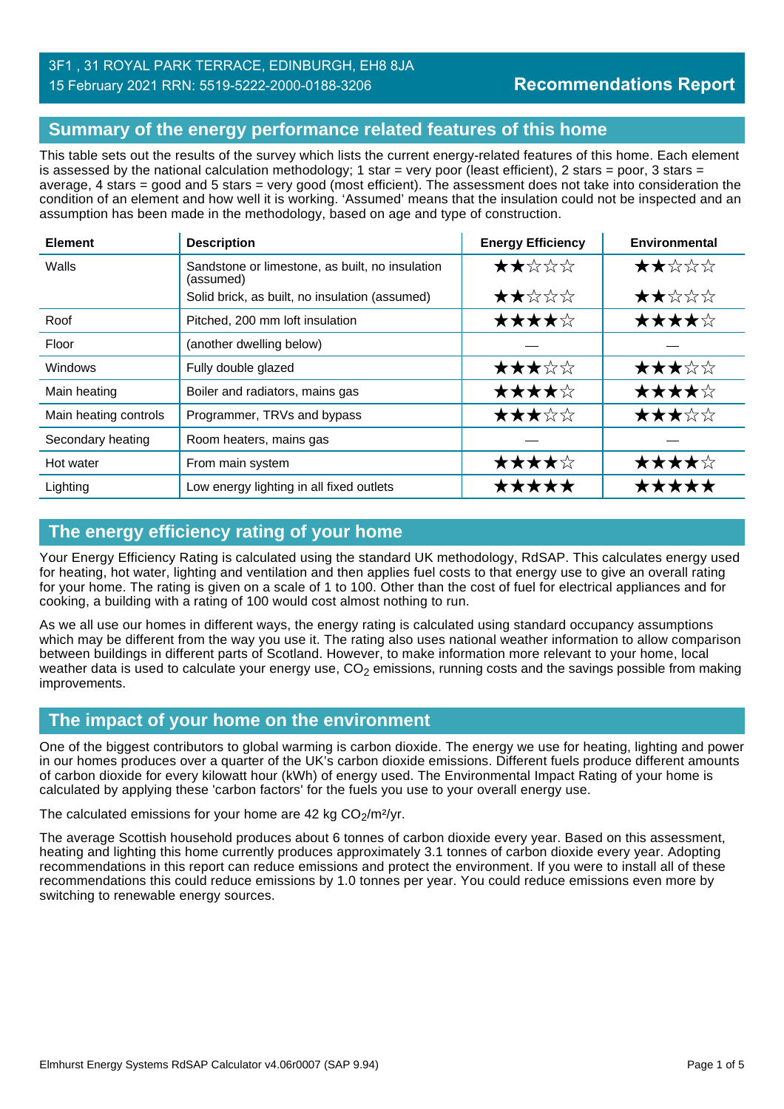# **Summary of the energy performance related features of this home**

This table sets out the results of the survey which lists the current energy-related features of this home. Each element is assessed by the national calculation methodology; 1 star = very poor (least efficient), 2 stars = poor, 3 stars = average, 4 stars = good and 5 stars = very good (most efficient). The assessment does not take into consideration the condition of an element and how well it is working. 'Assumed' means that the insulation could not be inspected and an assumption has been made in the methodology, based on age and type of construction.

| <b>Element</b>        | <b>Description</b>                                           | <b>Energy Efficiency</b> | Environmental |
|-----------------------|--------------------------------------------------------------|--------------------------|---------------|
| Walls                 | Sandstone or limestone, as built, no insulation<br>(assumed) | ★★☆☆☆                    | ★★☆☆☆         |
|                       | Solid brick, as built, no insulation (assumed)               | ★★☆☆☆                    | ★★☆☆☆         |
| Roof                  | Pitched, 200 mm loft insulation                              | ★★★★☆                    | ★★★★☆         |
| Floor                 | (another dwelling below)                                     |                          |               |
| Windows               | Fully double glazed                                          | ★★★☆☆                    | ★★★☆☆         |
| Main heating          | Boiler and radiators, mains gas                              | ★★★★☆                    | ★★★★☆         |
| Main heating controls | Programmer, TRVs and bypass                                  | ★★★☆☆                    | ★★★☆☆         |
| Secondary heating     | Room heaters, mains gas                                      |                          |               |
| Hot water             | From main system                                             | ★★★★☆                    | ★★★★☆         |
| Lighting              | Low energy lighting in all fixed outlets                     | *****                    | *****         |

# **The energy efficiency rating of your home**

Your Energy Efficiency Rating is calculated using the standard UK methodology, RdSAP. This calculates energy used for heating, hot water, lighting and ventilation and then applies fuel costs to that energy use to give an overall rating for your home. The rating is given on a scale of 1 to 100. Other than the cost of fuel for electrical appliances and for cooking, a building with a rating of 100 would cost almost nothing to run.

As we all use our homes in different ways, the energy rating is calculated using standard occupancy assumptions which may be different from the way you use it. The rating also uses national weather information to allow comparison between buildings in different parts of Scotland. However, to make information more relevant to your home, local weather data is used to calculate your energy use,  $CO<sub>2</sub>$  emissions, running costs and the savings possible from making improvements.

# **The impact of your home on the environment**

One of the biggest contributors to global warming is carbon dioxide. The energy we use for heating, lighting and power in our homes produces over a quarter of the UK's carbon dioxide emissions. Different fuels produce different amounts of carbon dioxide for every kilowatt hour (kWh) of energy used. The Environmental Impact Rating of your home is calculated by applying these 'carbon factors' for the fuels you use to your overall energy use.

The calculated emissions for your home are 42 kg  $CO<sub>2</sub>/m<sup>2</sup>/yr$ .

The average Scottish household produces about 6 tonnes of carbon dioxide every year. Based on this assessment, heating and lighting this home currently produces approximately 3.1 tonnes of carbon dioxide every year. Adopting recommendations in this report can reduce emissions and protect the environment. If you were to install all of these recommendations this could reduce emissions by 1.0 tonnes per year. You could reduce emissions even more by switching to renewable energy sources.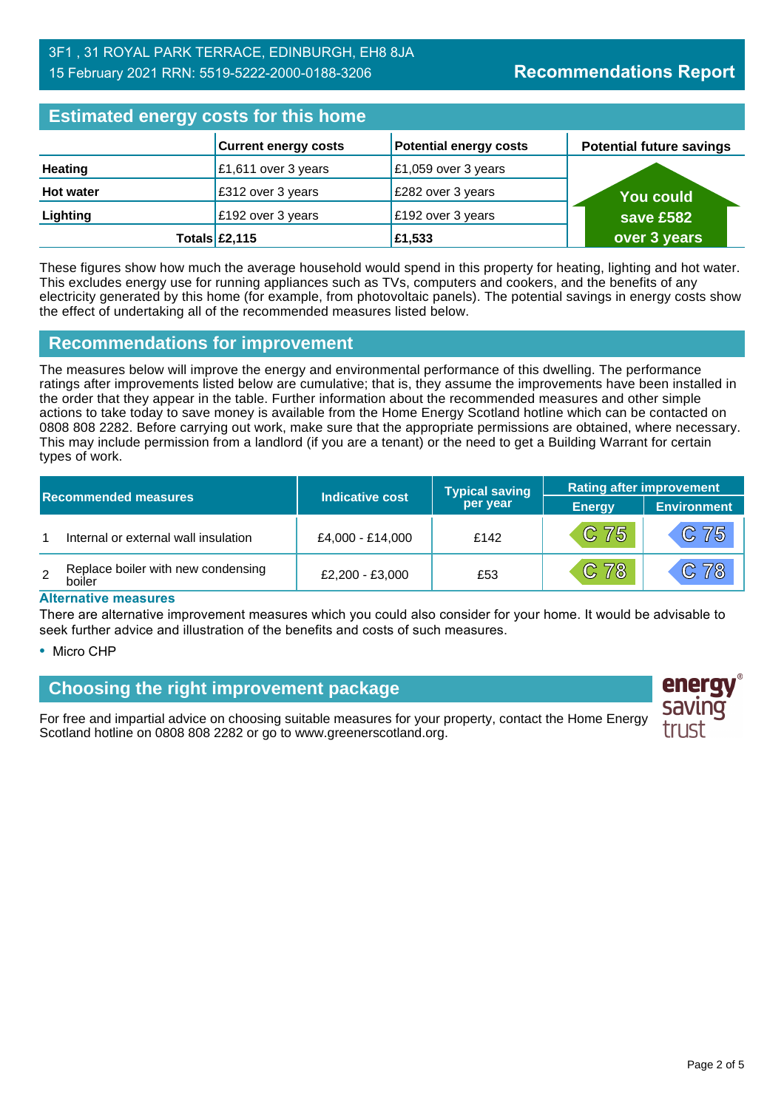| <b>Estimated energy costs for this home</b> |                             |                               |                                 |  |
|---------------------------------------------|-----------------------------|-------------------------------|---------------------------------|--|
|                                             | <b>Current energy costs</b> | <b>Potential energy costs</b> | <b>Potential future savings</b> |  |
| <b>Heating</b>                              | $£1,611$ over 3 years       | £1,059 over 3 years           |                                 |  |
| <b>Hot water</b>                            | £312 over 3 years           | £282 over 3 years             | You could                       |  |
| Lighting                                    | £192 over 3 years           | £192 over 3 years             | save £582                       |  |
|                                             | Totals $\mathsf{E}2,115$    | £1,533                        | over 3 years                    |  |

These figures show how much the average household would spend in this property for heating, lighting and hot water. This excludes energy use for running appliances such as TVs, computers and cookers, and the benefits of any electricity generated by this home (for example, from photovoltaic panels). The potential savings in energy costs show the effect of undertaking all of the recommended measures listed below.

#### **Recommendations for improvement**

The measures below will improve the energy and environmental performance of this dwelling. The performance ratings after improvements listed below are cumulative; that is, they assume the improvements have been installed in the order that they appear in the table. Further information about the recommended measures and other simple actions to take today to save money is available from the Home Energy Scotland hotline which can be contacted on 0808 808 2282. Before carrying out work, make sure that the appropriate permissions are obtained, where necessary. This may include permission from a landlord (if you are a tenant) or the need to get a Building Warrant for certain types of work.

| <b>Recommended measures</b> |                                              | Indicative cost   | <b>Typical saving</b> | <b>Rating after improvement</b> |                    |
|-----------------------------|----------------------------------------------|-------------------|-----------------------|---------------------------------|--------------------|
|                             |                                              |                   | per year              | <b>Energy</b>                   | <b>Environment</b> |
|                             | Internal or external wall insulation         | £4.000 - £14.000  | £142                  | $C$ 75                          | C 75               |
| 2                           | Replace boiler with new condensing<br>boiler | $£2.200 - £3.000$ | £53                   | C 78                            | C 78               |

#### **Alternative measures**

There are alternative improvement measures which you could also consider for your home. It would be advisable to seek further advice and illustration of the benefits and costs of such measures.

• Micro CHP

# **Choosing the right improvement package**

For free and impartial advice on choosing suitable measures for your property, contact the Home Energy Scotland hotline on 0808 808 2282 or go to www.greenerscotland.org.

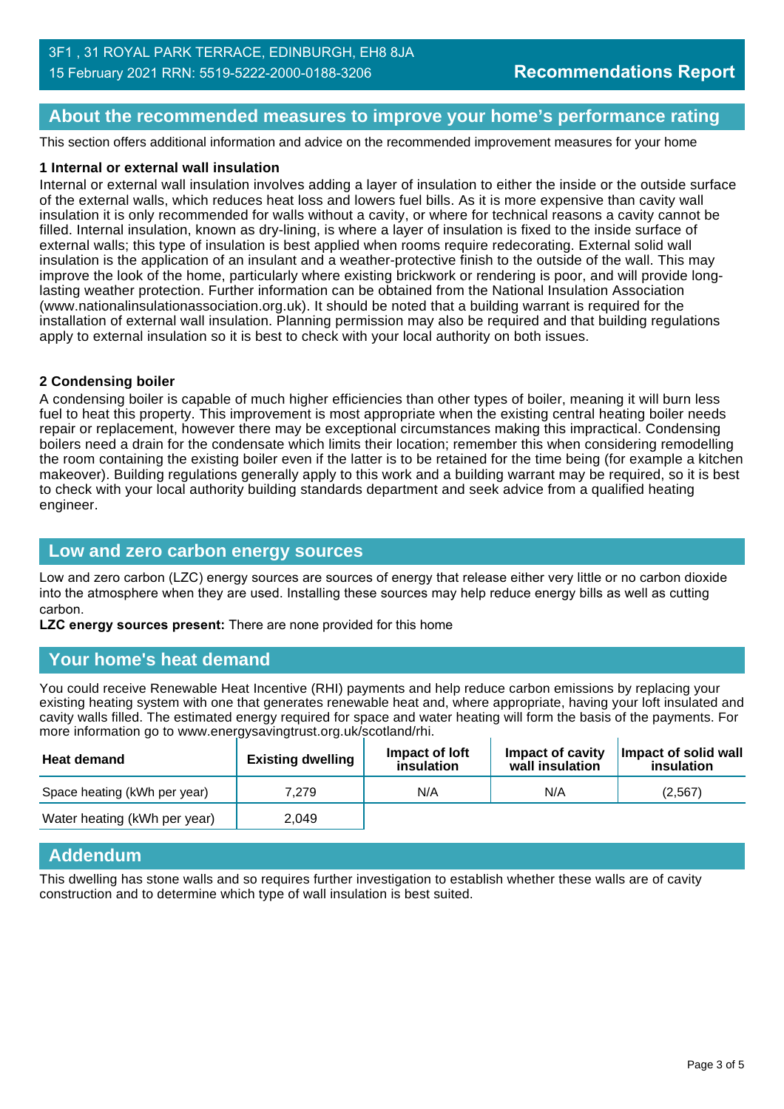#### **About the recommended measures to improve your home's performance rating**

This section offers additional information and advice on the recommended improvement measures for your home

#### **1 Internal or external wall insulation**

Internal or external wall insulation involves adding a layer of insulation to either the inside or the outside surface of the external walls, which reduces heat loss and lowers fuel bills. As it is more expensive than cavity wall insulation it is only recommended for walls without a cavity, or where for technical reasons a cavity cannot be filled. Internal insulation, known as dry-lining, is where a layer of insulation is fixed to the inside surface of external walls; this type of insulation is best applied when rooms require redecorating. External solid wall insulation is the application of an insulant and a weather-protective finish to the outside of the wall. This may improve the look of the home, particularly where existing brickwork or rendering is poor, and will provide longlasting weather protection. Further information can be obtained from the National Insulation Association (www.nationalinsulationassociation.org.uk). It should be noted that a building warrant is required for the installation of external wall insulation. Planning permission may also be required and that building regulations apply to external insulation so it is best to check with your local authority on both issues.

#### **2 Condensing boiler**

A condensing boiler is capable of much higher efficiencies than other types of boiler, meaning it will burn less fuel to heat this property. This improvement is most appropriate when the existing central heating boiler needs repair or replacement, however there may be exceptional circumstances making this impractical. Condensing boilers need a drain for the condensate which limits their location; remember this when considering remodelling the room containing the existing boiler even if the latter is to be retained for the time being (for example a kitchen makeover). Building regulations generally apply to this work and a building warrant may be required, so it is best to check with your local authority building standards department and seek advice from a qualified heating engineer.

#### **Low and zero carbon energy sources**

Low and zero carbon (LZC) energy sources are sources of energy that release either very little or no carbon dioxide into the atmosphere when they are used. Installing these sources may help reduce energy bills as well as cutting carbon.

**LZC energy sources present:** There are none provided for this home

#### **Your home's heat demand**

You could receive Renewable Heat Incentive (RHI) payments and help reduce carbon emissions by replacing your existing heating system with one that generates renewable heat and, where appropriate, having your loft insulated and cavity walls filled. The estimated energy required for space and water heating will form the basis of the payments. For more information go to www.energysavingtrust.org.uk/scotland/rhi.

| <b>Heat demand</b>           | .<br><b>Existing dwelling</b> | Impact of Joft<br>insulation | Impact of cavity<br>wall insulation | Impact of solid wall<br>insulation |
|------------------------------|-------------------------------|------------------------------|-------------------------------------|------------------------------------|
| Space heating (kWh per year) | 7.279                         | N/A                          | N/A                                 | (2,567)                            |
| Water heating (kWh per year) | 2.049                         |                              |                                     |                                    |

#### **Addendum**

This dwelling has stone walls and so requires further investigation to establish whether these walls are of cavity construction and to determine which type of wall insulation is best suited.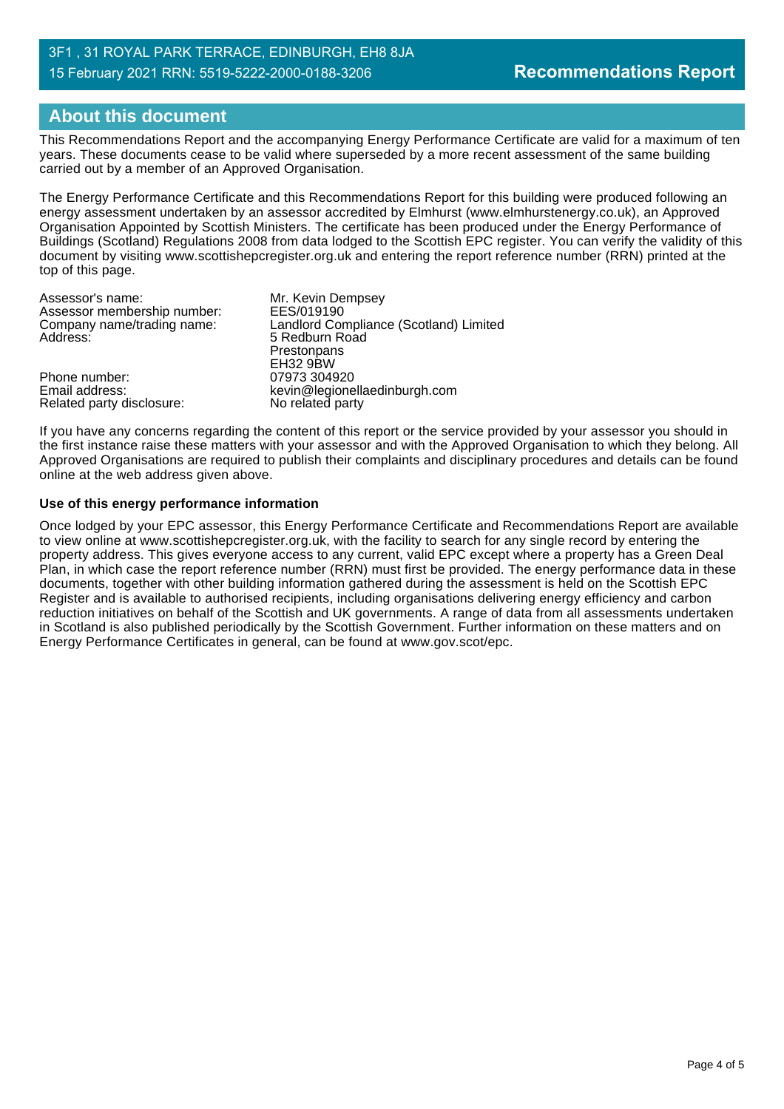# **About this document**

This Recommendations Report and the accompanying Energy Performance Certificate are valid for a maximum of ten years. These documents cease to be valid where superseded by a more recent assessment of the same building carried out by a member of an Approved Organisation.

The Energy Performance Certificate and this Recommendations Report for this building were produced following an energy assessment undertaken by an assessor accredited by Elmhurst (www.elmhurstenergy.co.uk), an Approved Organisation Appointed by Scottish Ministers. The certificate has been produced under the Energy Performance of Buildings (Scotland) Regulations 2008 from data lodged to the Scottish EPC register. You can verify the validity of this document by visiting www.scottishepcregister.org.uk and entering the report reference number (RRN) printed at the top of this page.

| Assessor's name:            | Mr. Kevin Dempsey                      |
|-----------------------------|----------------------------------------|
| Assessor membership number: | EES/019190                             |
| Company name/trading name:  | Landlord Compliance (Scotland) Limited |
| Address:                    | 5 Redburn Road                         |
|                             | Prestonpans                            |
|                             | <b>EH32 9BW</b>                        |
| Phone number:               | 07973 304920                           |
| Email address:              | kevin@legionellaedinburgh.com          |
| Related party disclosure:   | No related party                       |

If you have any concerns regarding the content of this report or the service provided by your assessor you should in the first instance raise these matters with your assessor and with the Approved Organisation to which they belong. All Approved Organisations are required to publish their complaints and disciplinary procedures and details can be found online at the web address given above.

#### **Use of this energy performance information**

Once lodged by your EPC assessor, this Energy Performance Certificate and Recommendations Report are available to view online at www.scottishepcregister.org.uk, with the facility to search for any single record by entering the property address. This gives everyone access to any current, valid EPC except where a property has a Green Deal Plan, in which case the report reference number (RRN) must first be provided. The energy performance data in these documents, together with other building information gathered during the assessment is held on the Scottish EPC Register and is available to authorised recipients, including organisations delivering energy efficiency and carbon reduction initiatives on behalf of the Scottish and UK governments. A range of data from all assessments undertaken in Scotland is also published periodically by the Scottish Government. Further information on these matters and on Energy Performance Certificates in general, can be found at www.gov.scot/epc.